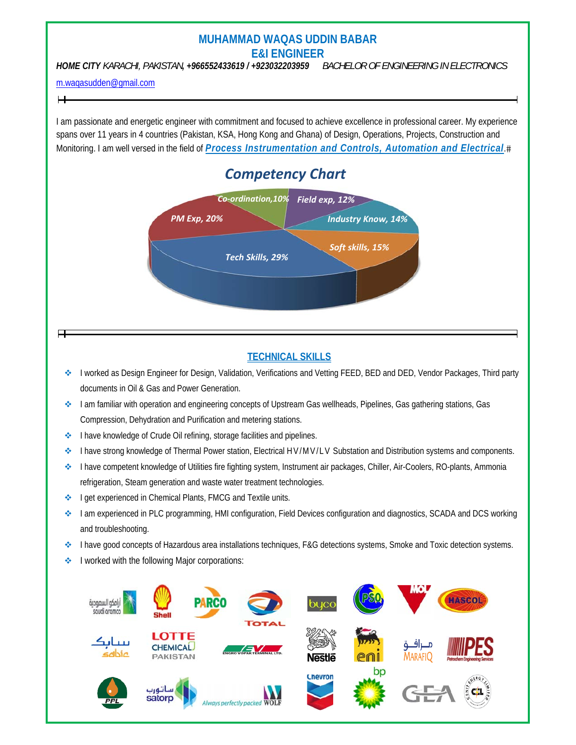# **MUHAMMAD WAQAS UDDIN BABAR E&I ENGINEER**

*HOME CITY KARACHI, PAKISTAN, +966552433619 / +923032203959 BACHELOR OF ENGINEERING IN ELECTRONICS* 

#### m.waqasudden@gmail.com

I am passionate and energetic engineer with commitment and focused to achieve excellence in professional career. My experience spans over 11 years in 4 countries (Pakistan, KSA, Hong Kong and Ghana) of Design, Operations, Projects, Construction and Monitoring. I am well versed in the field of *Process Instrumentation and Controls, Automation and Electrical*.

# *Competency Chart*



# **TECHNICAL SKILLS**

- ◆ I worked as Design Engineer for Design, Validation, Verifications and Vetting FEED, BED and DED, Vendor Packages, Third party documents in Oil & Gas and Power Generation.
- ◆ I am familiar with operation and engineering concepts of Upstream Gas wellheads, Pipelines, Gas gathering stations, Gas Compression, Dehydration and Purification and metering stations.
- **I have knowledge of Crude Oil refining, storage facilities and pipelines.**
- I have strong knowledge of Thermal Power station, Electrical HV/MV/LV Substation and Distribution systems and components.
- I have competent knowledge of Utilities fire fighting system, Instrument air packages, Chiller, Air-Coolers, RO-plants, Ammonia refrigeration, Steam generation and waste water treatment technologies.
- ◆ I get experienced in Chemical Plants, FMCG and Textile units.
- ◆ I am experienced in PLC programming, HMI configuration, Field Devices configuration and diagnostics, SCADA and DCS working and troubleshooting.
- ◆ I have good concepts of Hazardous area installations techniques, F&G detections systems, Smoke and Toxic detection systems.
- I worked with the following Major corporations: